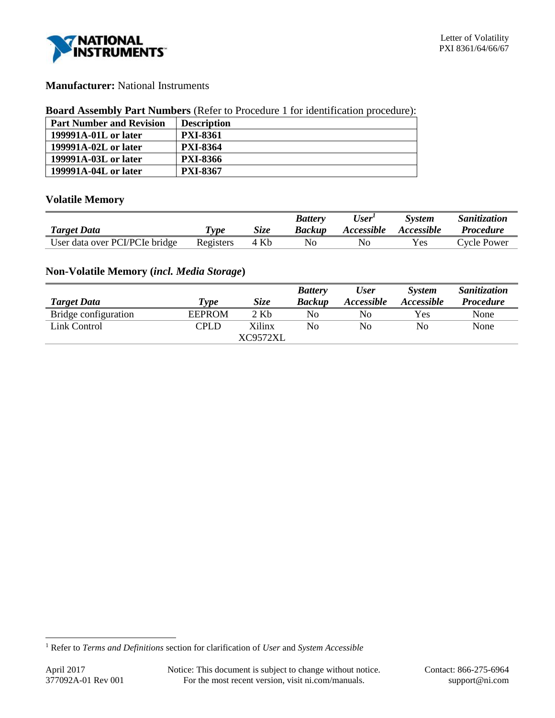

# **Manufacturer:** National Instruments

#### **Board Assembly Part Numbers** (Refer to Procedure 1 for identification procedure):

| <b>Part Number and Revision</b> | <b>Description</b> |
|---------------------------------|--------------------|
| 199991A-01L or later            | <b>PXI-8361</b>    |
| 199991A-02L or later            | <b>PXI-8364</b>    |
| 199991A-03L or later            | <b>PXI-8366</b>    |
| 199991A-04L or later            | <b>PXI-8367</b>    |

## **Volatile Memory**

|                                |           |      | <b>Battery</b> | User'             | <b>System</b> | <i>Sanitization</i> |
|--------------------------------|-----------|------|----------------|-------------------|---------------|---------------------|
| <b>Target Data</b>             | Type      | Size | <b>Backup</b>  | <i>Accessible</i> | Accessible    | <i>Procedure</i>    |
| User data over PCI/PCIe bridge | Registers | 4 Kb | No             | No                | Yes           | Cycle Power         |

# **Non-Volatile Memory (***incl. Media Storage***)**

|                      |             |                   | <b>Battery</b> | User                     | <b>System</b> | Sanitization     |
|----------------------|-------------|-------------------|----------------|--------------------------|---------------|------------------|
| <b>Target Data</b>   | <b>Type</b> | Size              | <b>Backup</b>  | <i><b>Accessible</b></i> | Accessible    | <b>Procedure</b> |
| Bridge configuration | EEPROM      | $2 \,\mathrm{Kb}$ | No             | No                       | Yes           | None             |
| Link Control         | <b>CPLD</b> | Xilinx            | No             | No                       | No            | None             |
|                      |             | <b>XC9572XL</b>   |                |                          |               |                  |

l

<sup>1</sup> Refer to *Terms and Definitions* section for clarification of *User* and *System Accessible*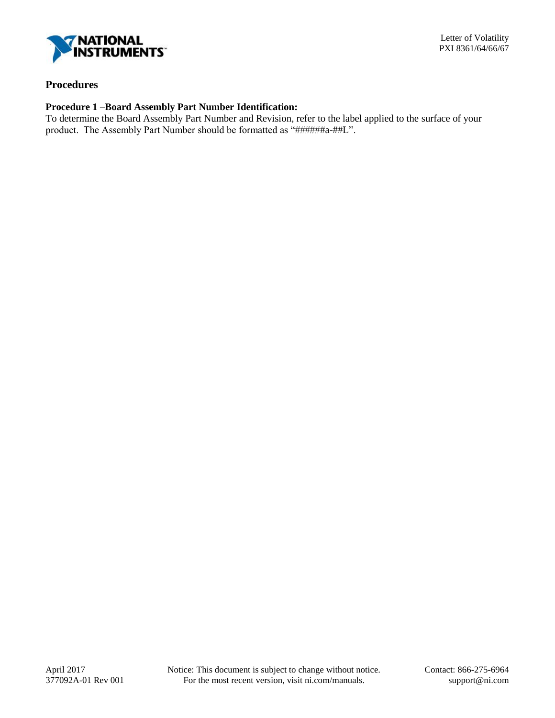

## **Procedures**

## **Procedure 1 –Board Assembly Part Number Identification:**

To determine the Board Assembly Part Number and Revision, refer to the label applied to the surface of your product. The Assembly Part Number should be formatted as "######a-##L".